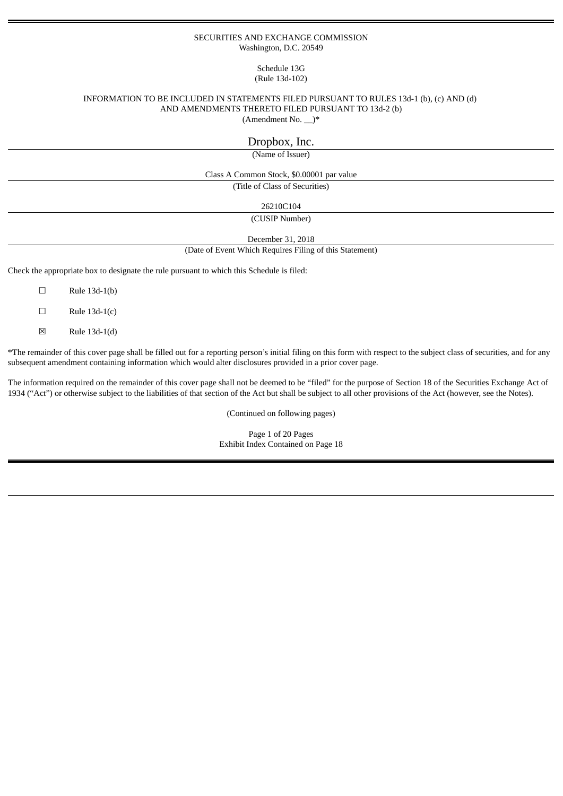## SECURITIES AND EXCHANGE COMMISSION Washington, D.C. 20549

## Schedule 13G (Rule 13d-102)

#### INFORMATION TO BE INCLUDED IN STATEMENTS FILED PURSUANT TO RULES 13d-1 (b), (c) AND (d) AND AMENDMENTS THERETO FILED PURSUANT TO 13d-2 (b) (Amendment No. \_\_)\*

Dropbox, Inc.

(Name of Issuer)

Class A Common Stock, \$0.00001 par value

(Title of Class of Securities)

26210C104

(CUSIP Number)

December 31, 2018

(Date of Event Which Requires Filing of this Statement)

Check the appropriate box to designate the rule pursuant to which this Schedule is filed:

 $\square$  Rule 13d-1(b)

 $\Box$  Rule 13d-1(c)

 $\boxtimes$  Rule 13d-1(d)

\*The remainder of this cover page shall be filled out for a reporting person's initial filing on this form with respect to the subject class of securities, and for any subsequent amendment containing information which would alter disclosures provided in a prior cover page.

The information required on the remainder of this cover page shall not be deemed to be "filed" for the purpose of Section 18 of the Securities Exchange Act of 1934 ("Act") or otherwise subject to the liabilities of that section of the Act but shall be subject to all other provisions of the Act (however, see the Notes).

(Continued on following pages)

Page 1 of 20 Pages Exhibit Index Contained on Page 18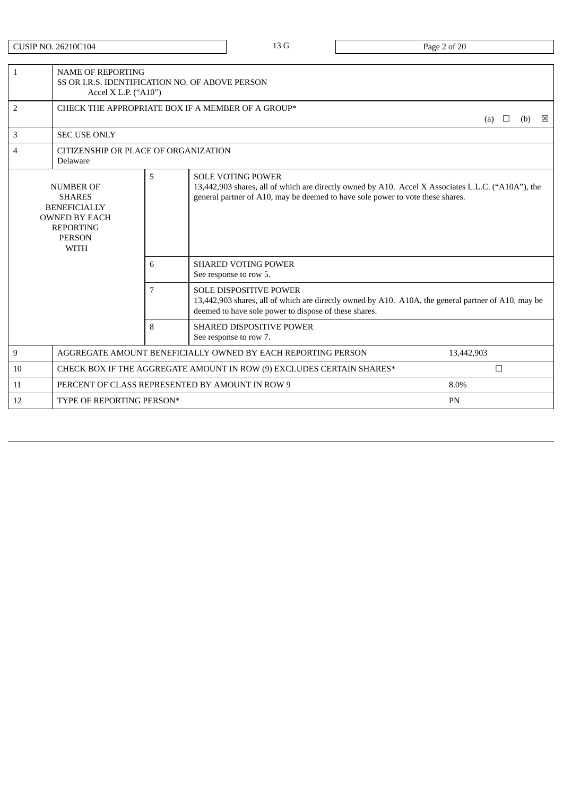CUSIP NO. 26210C104 2 and 20 and 20 and 20 and 20 and 20 and 20 and 20 and 20 and 20 and 20 and 20 and 20 and 20 and 20 and 20 and 20 and 20 and 20 and 20 and 20 and 20 and 20 and 20 and 20 and 20 and 20 and 20 and 20 and

| $\mathbf{1}$                                                                                                                              | <b>NAME OF REPORTING</b>                         | SS OR I.R.S. IDENTIFICATION NO. OF ABOVE PERSON<br>Accel X L.P. ("A10")   |                                                                                                                                                                                                                  |            |  |  |  |  |
|-------------------------------------------------------------------------------------------------------------------------------------------|--------------------------------------------------|---------------------------------------------------------------------------|------------------------------------------------------------------------------------------------------------------------------------------------------------------------------------------------------------------|------------|--|--|--|--|
| 2                                                                                                                                         |                                                  | CHECK THE APPROPRIATE BOX IF A MEMBER OF A GROUP*<br>⊠<br>(a)<br>(b)<br>⊔ |                                                                                                                                                                                                                  |            |  |  |  |  |
| 3                                                                                                                                         | <b>SEC USE ONLY</b>                              |                                                                           |                                                                                                                                                                                                                  |            |  |  |  |  |
| 4                                                                                                                                         | CITIZENSHIP OR PLACE OF ORGANIZATION<br>Delaware |                                                                           |                                                                                                                                                                                                                  |            |  |  |  |  |
| 5<br><b>NUMBER OF</b><br><b>SHARES</b><br><b>BENEFICIALLY</b><br><b>OWNED BY EACH</b><br><b>REPORTING</b><br><b>PERSON</b><br><b>WITH</b> |                                                  |                                                                           | <b>SOLE VOTING POWER</b><br>13,442,903 shares, all of which are directly owned by A10. Accel X Associates L.L.C. ("A10A"), the<br>general partner of A10, may be deemed to have sole power to vote these shares. |            |  |  |  |  |
|                                                                                                                                           |                                                  | 6                                                                         | <b>SHARED VOTING POWER</b><br>See response to row 5.                                                                                                                                                             |            |  |  |  |  |
|                                                                                                                                           |                                                  | 7                                                                         | <b>SOLE DISPOSITIVE POWER</b><br>13,442,903 shares, all of which are directly owned by A10. A10A, the general partner of A10, may be<br>deemed to have sole power to dispose of these shares.                    |            |  |  |  |  |
|                                                                                                                                           |                                                  | 8                                                                         | <b>SHARED DISPOSITIVE POWER</b><br>See response to row 7.                                                                                                                                                        |            |  |  |  |  |
| 9                                                                                                                                         |                                                  |                                                                           | AGGREGATE AMOUNT BENEFICIALLY OWNED BY EACH REPORTING PERSON                                                                                                                                                     | 13,442,903 |  |  |  |  |
| 10                                                                                                                                        |                                                  |                                                                           | CHECK BOX IF THE AGGREGATE AMOUNT IN ROW (9) EXCLUDES CERTAIN SHARES*                                                                                                                                            | $\Box$     |  |  |  |  |
| 11                                                                                                                                        |                                                  |                                                                           | PERCENT OF CLASS REPRESENTED BY AMOUNT IN ROW 9                                                                                                                                                                  | 8.0%       |  |  |  |  |
| 12                                                                                                                                        | TYPE OF REPORTING PERSON*                        |                                                                           |                                                                                                                                                                                                                  | PN         |  |  |  |  |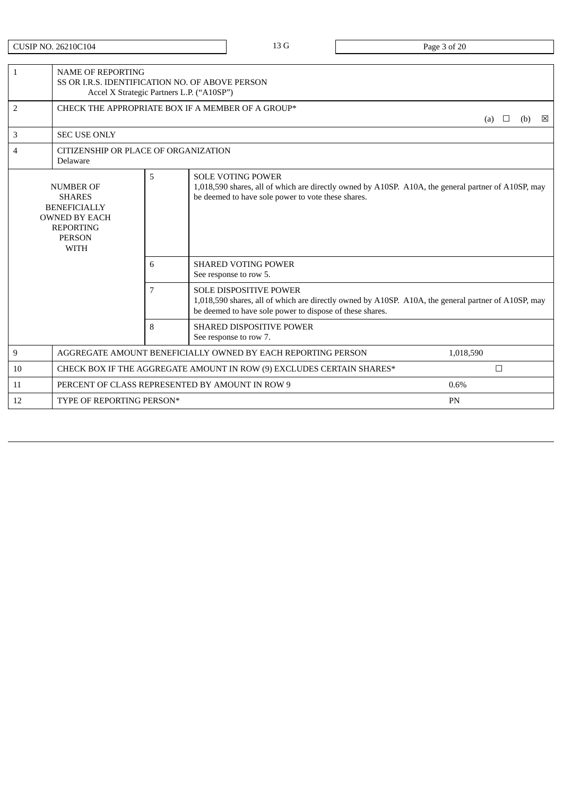CUSIP NO. 26210C104 2012 13 G Page 3 of 20

| $\mathbf{1}$                                                                                                                         | <b>NAME OF REPORTING</b>                         | SS OR I.R.S. IDENTIFICATION NO. OF ABOVE PERSON<br>Accel X Strategic Partners L.P. ("A10SP") |                                                                                                                                                                                                  |               |     |   |  |  |
|--------------------------------------------------------------------------------------------------------------------------------------|--------------------------------------------------|----------------------------------------------------------------------------------------------|--------------------------------------------------------------------------------------------------------------------------------------------------------------------------------------------------|---------------|-----|---|--|--|
| 2                                                                                                                                    |                                                  |                                                                                              | CHECK THE APPROPRIATE BOX IF A MEMBER OF A GROUP*                                                                                                                                                | (a)<br>$\Box$ | (b) | ⊠ |  |  |
| 3                                                                                                                                    | <b>SEC USE ONLY</b>                              |                                                                                              |                                                                                                                                                                                                  |               |     |   |  |  |
| 4                                                                                                                                    | CITIZENSHIP OR PLACE OF ORGANIZATION<br>Delaware |                                                                                              |                                                                                                                                                                                                  |               |     |   |  |  |
| <b>NUMBER OF</b><br><b>SHARES</b><br><b>BENEFICIALLY</b><br><b>OWNED BY EACH</b><br><b>REPORTING</b><br><b>PERSON</b><br><b>WITH</b> |                                                  | 5                                                                                            | <b>SOLE VOTING POWER</b><br>1,018,590 shares, all of which are directly owned by A10SP. A10A, the general partner of A10SP, may<br>be deemed to have sole power to vote these shares.            |               |     |   |  |  |
|                                                                                                                                      |                                                  | 6                                                                                            | <b>SHARED VOTING POWER</b><br>See response to row 5.                                                                                                                                             |               |     |   |  |  |
|                                                                                                                                      |                                                  | 7                                                                                            | <b>SOLE DISPOSITIVE POWER</b><br>1,018,590 shares, all of which are directly owned by A10SP. A10A, the general partner of A10SP, may<br>be deemed to have sole power to dispose of these shares. |               |     |   |  |  |
|                                                                                                                                      |                                                  | 8                                                                                            | <b>SHARED DISPOSITIVE POWER</b><br>See response to row 7.                                                                                                                                        |               |     |   |  |  |
| 9                                                                                                                                    |                                                  |                                                                                              | AGGREGATE AMOUNT BENEFICIALLY OWNED BY EACH REPORTING PERSON                                                                                                                                     | 1,018,590     |     |   |  |  |
| 10                                                                                                                                   |                                                  |                                                                                              | CHECK BOX IF THE AGGREGATE AMOUNT IN ROW (9) EXCLUDES CERTAIN SHARES*                                                                                                                            | $\Box$        |     |   |  |  |
| 11                                                                                                                                   |                                                  |                                                                                              | PERCENT OF CLASS REPRESENTED BY AMOUNT IN ROW 9                                                                                                                                                  | 0.6%          |     |   |  |  |
| 12                                                                                                                                   | TYPE OF REPORTING PERSON*                        |                                                                                              |                                                                                                                                                                                                  | PN            |     |   |  |  |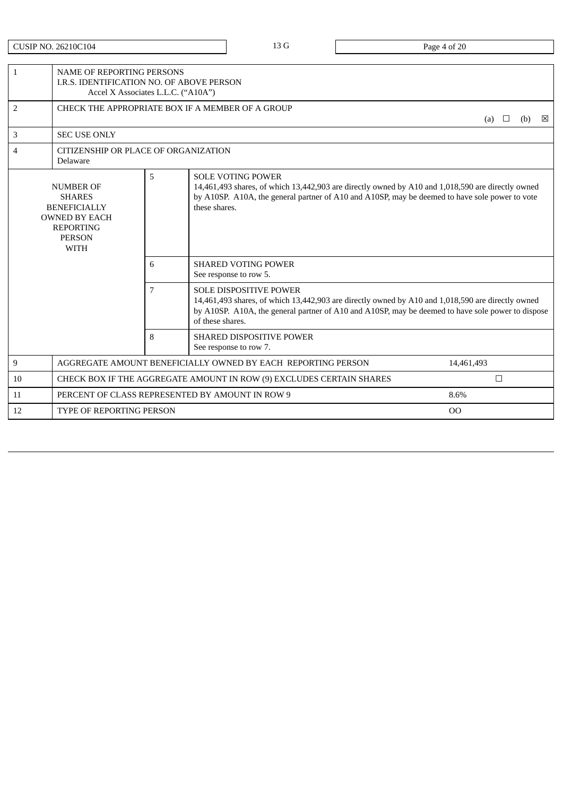CUSIP NO. 26210C104 20 Page 4 of 20

| $\mathbf{1}$                                                                                                                              |                                 | <b>NAME OF REPORTING PERSONS</b><br>I.R.S. IDENTIFICATION NO. OF ABOVE PERSON<br>Accel X Associates L.L.C. ("A10A") |                                                                                                                                                                                                                                                             |            |  |  |  |  |
|-------------------------------------------------------------------------------------------------------------------------------------------|---------------------------------|---------------------------------------------------------------------------------------------------------------------|-------------------------------------------------------------------------------------------------------------------------------------------------------------------------------------------------------------------------------------------------------------|------------|--|--|--|--|
| $\overline{2}$                                                                                                                            |                                 | CHECK THE APPROPRIATE BOX IF A MEMBER OF A GROUP<br>(b)<br>(a)<br>$\Box$                                            |                                                                                                                                                                                                                                                             |            |  |  |  |  |
| 3                                                                                                                                         | <b>SEC USE ONLY</b>             |                                                                                                                     |                                                                                                                                                                                                                                                             |            |  |  |  |  |
| 4                                                                                                                                         | Delaware                        | CITIZENSHIP OR PLACE OF ORGANIZATION                                                                                |                                                                                                                                                                                                                                                             |            |  |  |  |  |
| 5<br><b>NUMBER OF</b><br><b>SHARES</b><br><b>BENEFICIALLY</b><br><b>OWNED BY EACH</b><br><b>REPORTING</b><br><b>PERSON</b><br><b>WITH</b> |                                 |                                                                                                                     | <b>SOLE VOTING POWER</b><br>14,461,493 shares, of which 13,442,903 are directly owned by A10 and 1,018,590 are directly owned<br>by A10SP. A10A, the general partner of A10 and A10SP, may be deemed to have sole power to vote<br>these shares.            |            |  |  |  |  |
|                                                                                                                                           |                                 | 6                                                                                                                   | <b>SHARED VOTING POWER</b><br>See response to row 5.                                                                                                                                                                                                        |            |  |  |  |  |
|                                                                                                                                           | $\overline{7}$                  |                                                                                                                     | <b>SOLE DISPOSITIVE POWER</b><br>14,461,493 shares, of which 13,442,903 are directly owned by A10 and 1,018,590 are directly owned<br>by A10SP. A10A, the general partner of A10 and A10SP, may be deemed to have sole power to dispose<br>of these shares. |            |  |  |  |  |
| 8                                                                                                                                         |                                 |                                                                                                                     | <b>SHARED DISPOSITIVE POWER</b><br>See response to row 7.                                                                                                                                                                                                   |            |  |  |  |  |
| 9                                                                                                                                         |                                 |                                                                                                                     | AGGREGATE AMOUNT BENEFICIALLY OWNED BY EACH REPORTING PERSON                                                                                                                                                                                                | 14,461,493 |  |  |  |  |
| 10                                                                                                                                        |                                 |                                                                                                                     | CHECK BOX IF THE AGGREGATE AMOUNT IN ROW (9) EXCLUDES CERTAIN SHARES                                                                                                                                                                                        | $\Box$     |  |  |  |  |
| 11                                                                                                                                        |                                 |                                                                                                                     | PERCENT OF CLASS REPRESENTED BY AMOUNT IN ROW 9                                                                                                                                                                                                             | 8.6%       |  |  |  |  |
| 12                                                                                                                                        | <b>TYPE OF REPORTING PERSON</b> |                                                                                                                     |                                                                                                                                                                                                                                                             | 00         |  |  |  |  |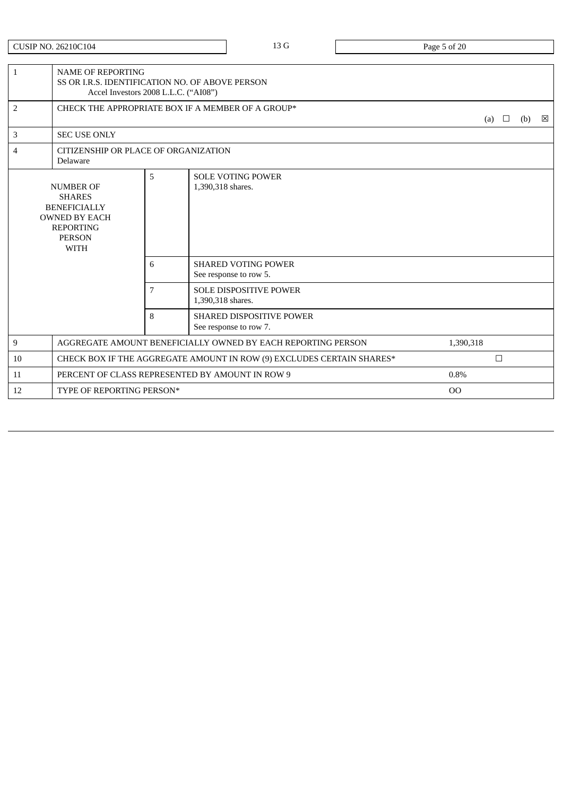CUSIP NO. 26210C104 23 G Page 5 of 20

| $\mathbf{1}$                                                                                                                         |                                                         | <b>NAME OF REPORTING</b><br>SS OR LR.S. IDENTIFICATION NO. OF ABOVE PERSON<br>Accel Investors 2008 L.L.C. ("AI08") |                                                                       |            |     |             |  |
|--------------------------------------------------------------------------------------------------------------------------------------|---------------------------------------------------------|--------------------------------------------------------------------------------------------------------------------|-----------------------------------------------------------------------|------------|-----|-------------|--|
| 2                                                                                                                                    |                                                         |                                                                                                                    | CHECK THE APPROPRIATE BOX IF A MEMBER OF A GROUP*                     | (a) $\Box$ | (b) | $\boxtimes$ |  |
| 3                                                                                                                                    | <b>SEC USE ONLY</b>                                     |                                                                                                                    |                                                                       |            |     |             |  |
| 4                                                                                                                                    | CITIZENSHIP OR PLACE OF ORGANIZATION<br><b>Delaware</b> |                                                                                                                    |                                                                       |            |     |             |  |
| <b>NUMBER OF</b><br><b>SHARES</b><br><b>BENEFICIALLY</b><br><b>OWNED BY EACH</b><br><b>REPORTING</b><br><b>PERSON</b><br><b>WITH</b> |                                                         | 5                                                                                                                  | <b>SOLE VOTING POWER</b><br>1,390,318 shares.                         |            |     |             |  |
|                                                                                                                                      |                                                         | 6                                                                                                                  | <b>SHARED VOTING POWER</b><br>See response to row 5.                  |            |     |             |  |
|                                                                                                                                      |                                                         | 7                                                                                                                  | <b>SOLE DISPOSITIVE POWER</b><br>1,390,318 shares.                    |            |     |             |  |
|                                                                                                                                      |                                                         | 8                                                                                                                  | <b>SHARED DISPOSITIVE POWER</b><br>See response to row 7.             |            |     |             |  |
| 9                                                                                                                                    |                                                         |                                                                                                                    | AGGREGATE AMOUNT BENEFICIALLY OWNED BY EACH REPORTING PERSON          | 1,390,318  |     |             |  |
| 10                                                                                                                                   |                                                         |                                                                                                                    | CHECK BOX IF THE AGGREGATE AMOUNT IN ROW (9) EXCLUDES CERTAIN SHARES* | $\Box$     |     |             |  |
| 11                                                                                                                                   |                                                         |                                                                                                                    | PERCENT OF CLASS REPRESENTED BY AMOUNT IN ROW 9                       | 0.8%       |     |             |  |
| 12                                                                                                                                   | TYPE OF REPORTING PERSON*                               |                                                                                                                    |                                                                       | OO         |     |             |  |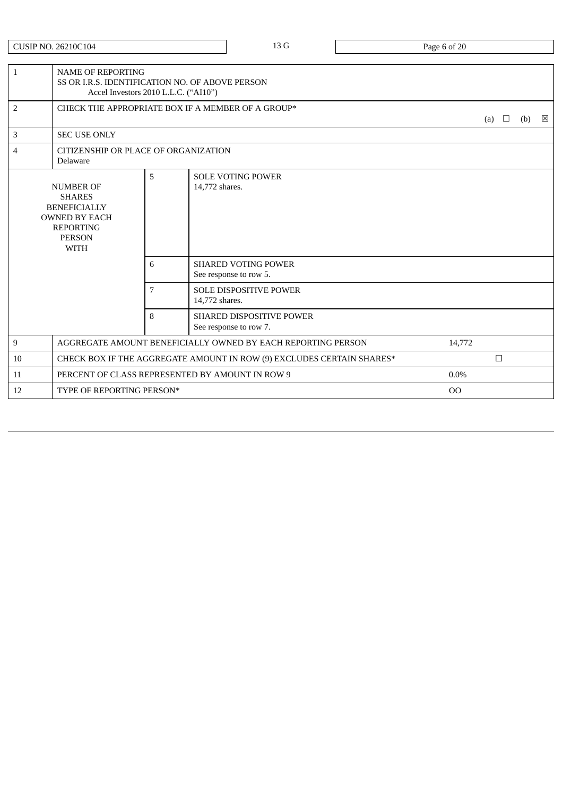CUSIP NO. 26210C104 23 G Page 6 of 20

| $\mathbf{1}$                                                                                                                         | <b>NAME OF REPORTING</b>  | SS OR I.R.S. IDENTIFICATION NO. OF ABOVE PERSON<br>Accel Investors 2010 L.L.C. ("AI10") |                                                                       |         |        |                |  |   |
|--------------------------------------------------------------------------------------------------------------------------------------|---------------------------|-----------------------------------------------------------------------------------------|-----------------------------------------------------------------------|---------|--------|----------------|--|---|
| 2                                                                                                                                    |                           | CHECK THE APPROPRIATE BOX IF A MEMBER OF A GROUP*                                       |                                                                       |         |        | (a) $\Box$ (b) |  | 図 |
| 3                                                                                                                                    | <b>SEC USE ONLY</b>       |                                                                                         |                                                                       |         |        |                |  |   |
| 4                                                                                                                                    | Delaware                  | CITIZENSHIP OR PLACE OF ORGANIZATION                                                    |                                                                       |         |        |                |  |   |
| <b>NUMBER OF</b><br><b>SHARES</b><br><b>BENEFICIALLY</b><br><b>OWNED BY EACH</b><br><b>REPORTING</b><br><b>PERSON</b><br><b>WITH</b> |                           | 5                                                                                       | <b>SOLE VOTING POWER</b><br>14,772 shares.                            |         |        |                |  |   |
|                                                                                                                                      |                           | 6                                                                                       | <b>SHARED VOTING POWER</b><br>See response to row 5.                  |         |        |                |  |   |
|                                                                                                                                      |                           | 7                                                                                       | <b>SOLE DISPOSITIVE POWER</b><br>14,772 shares.                       |         |        |                |  |   |
|                                                                                                                                      |                           | 8                                                                                       | <b>SHARED DISPOSITIVE POWER</b><br>See response to row 7.             |         |        |                |  |   |
| 9                                                                                                                                    |                           |                                                                                         | AGGREGATE AMOUNT BENEFICIALLY OWNED BY EACH REPORTING PERSON          | 14,772  |        |                |  |   |
| 10                                                                                                                                   |                           |                                                                                         | CHECK BOX IF THE AGGREGATE AMOUNT IN ROW (9) EXCLUDES CERTAIN SHARES* |         | $\Box$ |                |  |   |
| 11                                                                                                                                   |                           |                                                                                         | PERCENT OF CLASS REPRESENTED BY AMOUNT IN ROW 9                       | $0.0\%$ |        |                |  |   |
| 12                                                                                                                                   | TYPE OF REPORTING PERSON* |                                                                                         |                                                                       | 00      |        |                |  |   |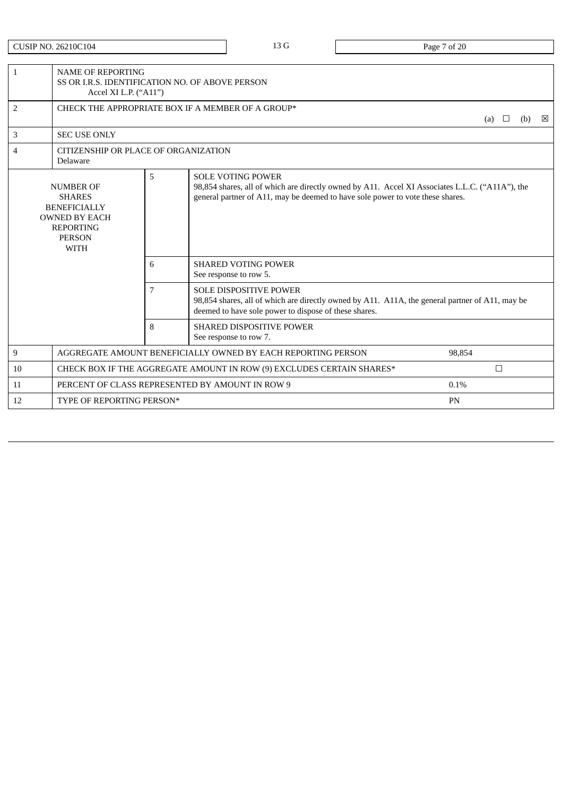CUSIP NO. 26210C104 20 Page 7 of 20

| $\mathbf{1}$                                                                                                                              |                                                          | <b>NAME OF REPORTING</b><br>SS OR I.R.S. IDENTIFICATION NO. OF ABOVE PERSON<br>Accel XI L.P. ("A11") |                                                                                                                                                                                                               |         |        |     |   |  |  |
|-------------------------------------------------------------------------------------------------------------------------------------------|----------------------------------------------------------|------------------------------------------------------------------------------------------------------|---------------------------------------------------------------------------------------------------------------------------------------------------------------------------------------------------------------|---------|--------|-----|---|--|--|
| 2                                                                                                                                         | CHECK THE APPROPRIATE BOX IF A MEMBER OF A GROUP*<br>(a) |                                                                                                      |                                                                                                                                                                                                               |         | $\Box$ | (b) | 図 |  |  |
| 3                                                                                                                                         | <b>SEC USE ONLY</b>                                      |                                                                                                      |                                                                                                                                                                                                               |         |        |     |   |  |  |
| 4                                                                                                                                         | Delaware                                                 | CITIZENSHIP OR PLACE OF ORGANIZATION                                                                 |                                                                                                                                                                                                               |         |        |     |   |  |  |
| 5<br><b>NUMBER OF</b><br><b>SHARES</b><br><b>BENEFICIALLY</b><br><b>OWNED BY EACH</b><br><b>REPORTING</b><br><b>PERSON</b><br><b>WITH</b> |                                                          |                                                                                                      | <b>SOLE VOTING POWER</b><br>98,854 shares, all of which are directly owned by A11. Accel XI Associates L.L.C. ("A11A"), the<br>general partner of A11, may be deemed to have sole power to vote these shares. |         |        |     |   |  |  |
|                                                                                                                                           |                                                          | 6                                                                                                    | <b>SHARED VOTING POWER</b><br>See response to row 5.                                                                                                                                                          |         |        |     |   |  |  |
|                                                                                                                                           |                                                          | 7                                                                                                    | <b>SOLE DISPOSITIVE POWER</b><br>98,854 shares, all of which are directly owned by A11. A11A, the general partner of A11, may be<br>deemed to have sole power to dispose of these shares.                     |         |        |     |   |  |  |
|                                                                                                                                           |                                                          | 8                                                                                                    | <b>SHARED DISPOSITIVE POWER</b><br>See response to row 7.                                                                                                                                                     |         |        |     |   |  |  |
| 9                                                                                                                                         |                                                          |                                                                                                      | AGGREGATE AMOUNT BENEFICIALLY OWNED BY EACH REPORTING PERSON                                                                                                                                                  | 98.854  |        |     |   |  |  |
| 10                                                                                                                                        |                                                          |                                                                                                      | CHECK BOX IF THE AGGREGATE AMOUNT IN ROW (9) EXCLUDES CERTAIN SHARES*                                                                                                                                         |         | $\Box$ |     |   |  |  |
| 11                                                                                                                                        |                                                          |                                                                                                      | PERCENT OF CLASS REPRESENTED BY AMOUNT IN ROW 9                                                                                                                                                               | $0.1\%$ |        |     |   |  |  |
| 12                                                                                                                                        | TYPE OF REPORTING PERSON*                                |                                                                                                      |                                                                                                                                                                                                               | PN      |        |     |   |  |  |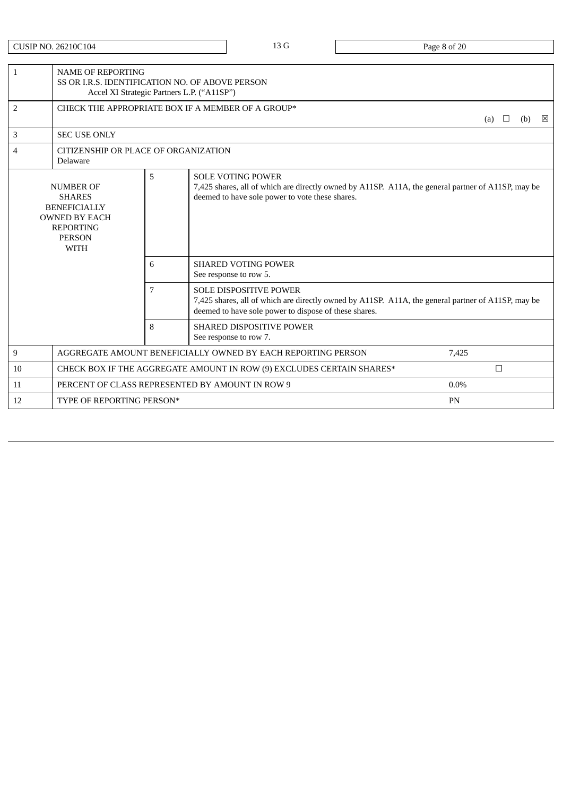CUSIP NO. 26210C104 2013 0 13 G Page 8 of 20

| $\mathbf{1}$                                                                                                                              | <b>NAME OF REPORTING</b>                         | SS OR I.R.S. IDENTIFICATION NO. OF ABOVE PERSON<br>Accel XI Strategic Partners L.P. ("A11SP") |                                                                                                                                                                                              |                 |  |  |  |  |
|-------------------------------------------------------------------------------------------------------------------------------------------|--------------------------------------------------|-----------------------------------------------------------------------------------------------|----------------------------------------------------------------------------------------------------------------------------------------------------------------------------------------------|-----------------|--|--|--|--|
| 2                                                                                                                                         |                                                  |                                                                                               | CHECK THE APPROPRIATE BOX IF A MEMBER OF A GROUP*                                                                                                                                            | (b)<br>⊠<br>(a) |  |  |  |  |
| 3                                                                                                                                         | <b>SEC USE ONLY</b>                              |                                                                                               |                                                                                                                                                                                              |                 |  |  |  |  |
| $\overline{4}$                                                                                                                            | CITIZENSHIP OR PLACE OF ORGANIZATION<br>Delaware |                                                                                               |                                                                                                                                                                                              |                 |  |  |  |  |
| 5<br><b>NUMBER OF</b><br><b>SHARES</b><br><b>BENEFICIALLY</b><br><b>OWNED BY EACH</b><br><b>REPORTING</b><br><b>PERSON</b><br><b>WITH</b> |                                                  |                                                                                               | <b>SOLE VOTING POWER</b><br>7,425 shares, all of which are directly owned by A11SP. A11A, the general partner of A11SP, may be<br>deemed to have sole power to vote these shares.            |                 |  |  |  |  |
|                                                                                                                                           |                                                  | 6                                                                                             | <b>SHARED VOTING POWER</b><br>See response to row 5.                                                                                                                                         |                 |  |  |  |  |
|                                                                                                                                           |                                                  | 7                                                                                             | <b>SOLE DISPOSITIVE POWER</b><br>7,425 shares, all of which are directly owned by A11SP. A11A, the general partner of A11SP, may be<br>deemed to have sole power to dispose of these shares. |                 |  |  |  |  |
|                                                                                                                                           |                                                  | 8                                                                                             | <b>SHARED DISPOSITIVE POWER</b><br>See response to row 7.                                                                                                                                    |                 |  |  |  |  |
| 9                                                                                                                                         |                                                  |                                                                                               | AGGREGATE AMOUNT BENEFICIALLY OWNED BY EACH REPORTING PERSON                                                                                                                                 | 7,425           |  |  |  |  |
| 10                                                                                                                                        |                                                  |                                                                                               | CHECK BOX IF THE AGGREGATE AMOUNT IN ROW (9) EXCLUDES CERTAIN SHARES*                                                                                                                        | $\Box$          |  |  |  |  |
| 11                                                                                                                                        |                                                  |                                                                                               | PERCENT OF CLASS REPRESENTED BY AMOUNT IN ROW 9                                                                                                                                              | $0.0\%$         |  |  |  |  |
| 12                                                                                                                                        | TYPE OF REPORTING PERSON*                        |                                                                                               |                                                                                                                                                                                              | PN              |  |  |  |  |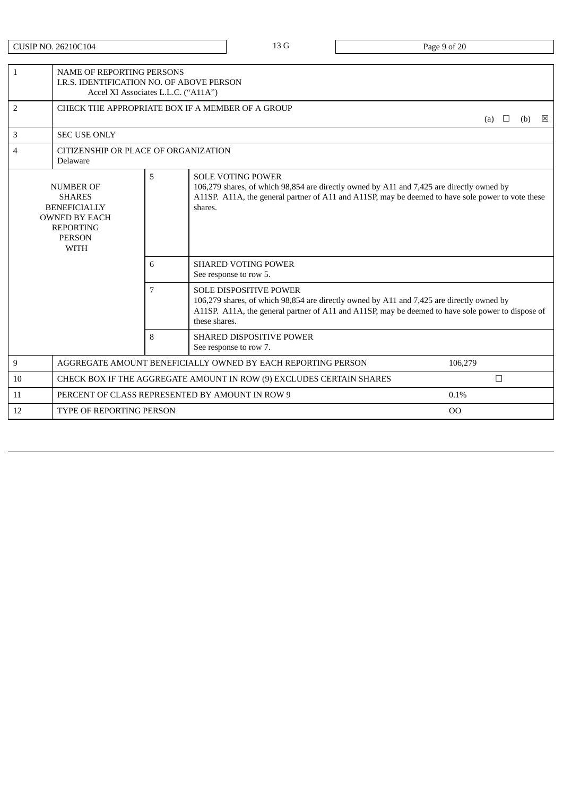| CUSIP NO. 26210C104 |  |
|---------------------|--|
|---------------------|--|

13 G Page 9 of 20

| $\mathbf{1}$                                                                                                                              |                                 | NAME OF REPORTING PERSONS<br>I.R.S. IDENTIFICATION NO. OF ABOVE PERSON<br>Accel XI Associates L.L.C. ("A11A") |                                                                                                                                                                                                                                                  |                |        |     |   |  |
|-------------------------------------------------------------------------------------------------------------------------------------------|---------------------------------|---------------------------------------------------------------------------------------------------------------|--------------------------------------------------------------------------------------------------------------------------------------------------------------------------------------------------------------------------------------------------|----------------|--------|-----|---|--|
| $\overline{2}$                                                                                                                            |                                 |                                                                                                               | CHECK THE APPROPRIATE BOX IF A MEMBER OF A GROUP                                                                                                                                                                                                 | (a)            |        | (b) | ⊠ |  |
| 3                                                                                                                                         | <b>SEC USE ONLY</b>             |                                                                                                               |                                                                                                                                                                                                                                                  |                |        |     |   |  |
| 4                                                                                                                                         | Delaware                        | CITIZENSHIP OR PLACE OF ORGANIZATION                                                                          |                                                                                                                                                                                                                                                  |                |        |     |   |  |
| 5<br><b>NUMBER OF</b><br><b>SHARES</b><br><b>BENEFICIALLY</b><br><b>OWNED BY EACH</b><br><b>REPORTING</b><br><b>PERSON</b><br><b>WITH</b> |                                 |                                                                                                               | <b>SOLE VOTING POWER</b><br>106,279 shares, of which 98,854 are directly owned by A11 and 7,425 are directly owned by<br>A11SP. A11A, the general partner of A11 and A11SP, may be deemed to have sole power to vote these<br>shares.            |                |        |     |   |  |
|                                                                                                                                           |                                 | 6                                                                                                             | <b>SHARED VOTING POWER</b><br>See response to row 5.                                                                                                                                                                                             |                |        |     |   |  |
|                                                                                                                                           |                                 | 7                                                                                                             | <b>SOLE DISPOSITIVE POWER</b><br>106,279 shares, of which 98,854 are directly owned by A11 and 7,425 are directly owned by<br>A11SP. A11A, the general partner of A11 and A11SP, may be deemed to have sole power to dispose of<br>these shares. |                |        |     |   |  |
|                                                                                                                                           |                                 | 8                                                                                                             | <b>SHARED DISPOSITIVE POWER</b><br>See response to row 7.                                                                                                                                                                                        |                |        |     |   |  |
| 9                                                                                                                                         |                                 |                                                                                                               | AGGREGATE AMOUNT BENEFICIALLY OWNED BY EACH REPORTING PERSON                                                                                                                                                                                     | 106,279        |        |     |   |  |
| 10                                                                                                                                        |                                 |                                                                                                               | CHECK BOX IF THE AGGREGATE AMOUNT IN ROW (9) EXCLUDES CERTAIN SHARES                                                                                                                                                                             |                | $\Box$ |     |   |  |
| 11                                                                                                                                        |                                 |                                                                                                               | PERCENT OF CLASS REPRESENTED BY AMOUNT IN ROW 9                                                                                                                                                                                                  | 0.1%           |        |     |   |  |
| 12                                                                                                                                        | <b>TYPE OF REPORTING PERSON</b> |                                                                                                               |                                                                                                                                                                                                                                                  | O <sub>O</sub> |        |     |   |  |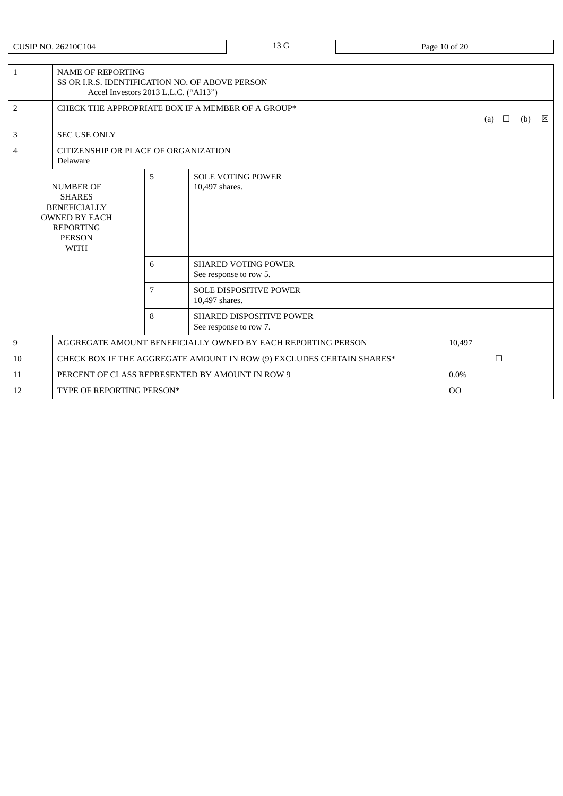CUSIP NO. 26210C104 20 Page 10 of 20

| 1                                                                                                                                    | <b>NAME OF REPORTING</b>  | SS OR I.R.S. IDENTIFICATION NO. OF ABOVE PERSON<br>Accel Investors 2013 L.L.C. ("AI13") |                                                                       |                |               |  |     |   |
|--------------------------------------------------------------------------------------------------------------------------------------|---------------------------|-----------------------------------------------------------------------------------------|-----------------------------------------------------------------------|----------------|---------------|--|-----|---|
| 2                                                                                                                                    |                           |                                                                                         | CHECK THE APPROPRIATE BOX IF A MEMBER OF A GROUP*                     |                | $\Box$<br>(a) |  | (b) | ⊠ |
| 3                                                                                                                                    | <b>SEC USE ONLY</b>       |                                                                                         |                                                                       |                |               |  |     |   |
| 4                                                                                                                                    | Delaware                  | CITIZENSHIP OR PLACE OF ORGANIZATION                                                    |                                                                       |                |               |  |     |   |
| <b>NUMBER OF</b><br><b>SHARES</b><br><b>BENEFICIALLY</b><br><b>OWNED BY EACH</b><br><b>REPORTING</b><br><b>PERSON</b><br><b>WITH</b> |                           | 5                                                                                       | <b>SOLE VOTING POWER</b><br>10,497 shares.                            |                |               |  |     |   |
|                                                                                                                                      |                           | 6                                                                                       | <b>SHARED VOTING POWER</b><br>See response to row 5.                  |                |               |  |     |   |
|                                                                                                                                      |                           | 7                                                                                       | <b>SOLE DISPOSITIVE POWER</b><br>10,497 shares.                       |                |               |  |     |   |
|                                                                                                                                      |                           | 8                                                                                       | <b>SHARED DISPOSITIVE POWER</b><br>See response to row 7.             |                |               |  |     |   |
| 9                                                                                                                                    |                           |                                                                                         | AGGREGATE AMOUNT BENEFICIALLY OWNED BY EACH REPORTING PERSON          | 10,497         |               |  |     |   |
| 10                                                                                                                                   |                           |                                                                                         | CHECK BOX IF THE AGGREGATE AMOUNT IN ROW (9) EXCLUDES CERTAIN SHARES* |                | $\Box$        |  |     |   |
| 11                                                                                                                                   |                           |                                                                                         | PERCENT OF CLASS REPRESENTED BY AMOUNT IN ROW 9                       | $0.0\%$        |               |  |     |   |
| 12                                                                                                                                   | TYPE OF REPORTING PERSON* |                                                                                         |                                                                       | O <sub>O</sub> |               |  |     |   |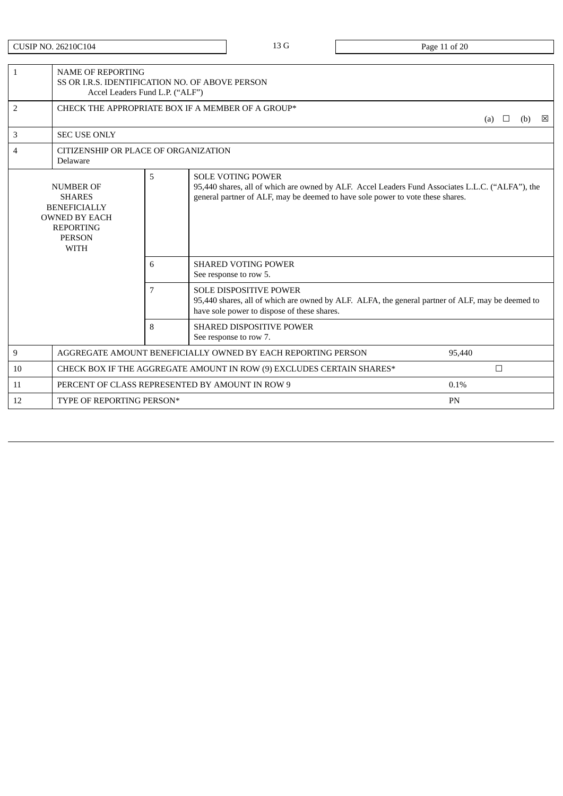CUSIP NO. 26210C104 20 Page 11 of 20

| $\mathbf{1}$                                                                                                                              | <b>NAME OF REPORTING</b><br>SS OR I.R.S. IDENTIFICATION NO. OF ABOVE PERSON<br>Accel Leaders Fund L.P. ("ALF") |   |                                                                                                                                                                                                                |        |        |     |   |
|-------------------------------------------------------------------------------------------------------------------------------------------|----------------------------------------------------------------------------------------------------------------|---|----------------------------------------------------------------------------------------------------------------------------------------------------------------------------------------------------------------|--------|--------|-----|---|
| $\overline{2}$                                                                                                                            |                                                                                                                |   | CHECK THE APPROPRIATE BOX IF A MEMBER OF A GROUP*                                                                                                                                                              | (a)    | $\Box$ | (b) | 図 |
| 3                                                                                                                                         | <b>SEC USE ONLY</b>                                                                                            |   |                                                                                                                                                                                                                |        |        |     |   |
| 4                                                                                                                                         | CITIZENSHIP OR PLACE OF ORGANIZATION<br>Delaware                                                               |   |                                                                                                                                                                                                                |        |        |     |   |
| 5<br><b>NUMBER OF</b><br><b>SHARES</b><br><b>BENEFICIALLY</b><br><b>OWNED BY EACH</b><br><b>REPORTING</b><br><b>PERSON</b><br><b>WITH</b> |                                                                                                                |   | <b>SOLE VOTING POWER</b><br>95,440 shares, all of which are owned by ALF. Accel Leaders Fund Associates L.L.C. ("ALFA"), the<br>general partner of ALF, may be deemed to have sole power to vote these shares. |        |        |     |   |
|                                                                                                                                           |                                                                                                                | 6 | <b>SHARED VOTING POWER</b><br>See response to row 5.                                                                                                                                                           |        |        |     |   |
|                                                                                                                                           |                                                                                                                | 7 | <b>SOLE DISPOSITIVE POWER</b><br>95,440 shares, all of which are owned by ALF. ALFA, the general partner of ALF, may be deemed to<br>have sole power to dispose of these shares.                               |        |        |     |   |
|                                                                                                                                           |                                                                                                                | 8 | <b>SHARED DISPOSITIVE POWER</b><br>See response to row 7.                                                                                                                                                      |        |        |     |   |
| 9                                                                                                                                         |                                                                                                                |   | AGGREGATE AMOUNT BENEFICIALLY OWNED BY EACH REPORTING PERSON                                                                                                                                                   | 95,440 |        |     |   |
| 10                                                                                                                                        |                                                                                                                |   | CHECK BOX IF THE AGGREGATE AMOUNT IN ROW (9) EXCLUDES CERTAIN SHARES*                                                                                                                                          |        | $\Box$ |     |   |
| 11                                                                                                                                        |                                                                                                                |   | PERCENT OF CLASS REPRESENTED BY AMOUNT IN ROW 9                                                                                                                                                                | 0.1%   |        |     |   |
| 12                                                                                                                                        | TYPE OF REPORTING PERSON*                                                                                      |   |                                                                                                                                                                                                                | PN     |        |     |   |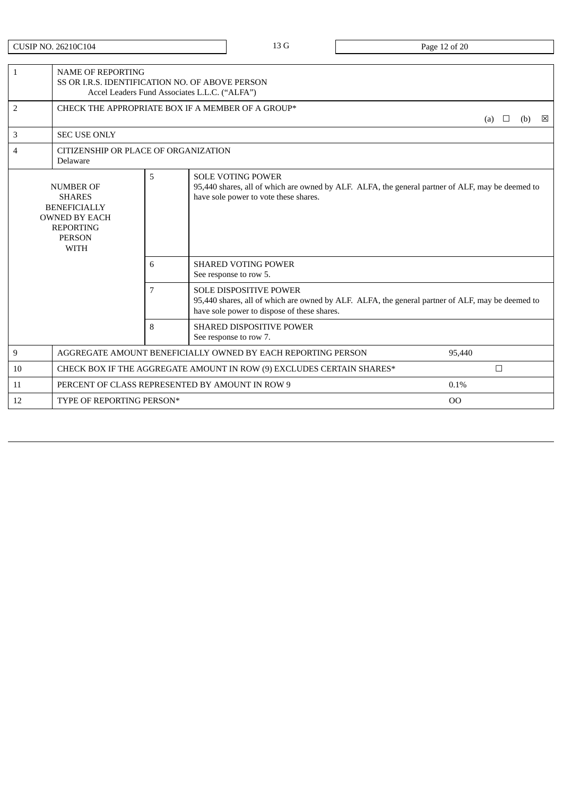CUSIP NO. 26210C104 20 Page 12 of 20

| $\mathbf{1}$                                                                                                                                                                                                                                                                                                       | <b>NAME OF REPORTING</b>                         | SS OR LR.S. IDENTIFICATION NO. OF ABOVE PERSON<br>Accel Leaders Fund Associates L.L.C. ("ALFA") |                                                                                                                                                                                  |        |        |          |  |  |  |
|--------------------------------------------------------------------------------------------------------------------------------------------------------------------------------------------------------------------------------------------------------------------------------------------------------------------|--------------------------------------------------|-------------------------------------------------------------------------------------------------|----------------------------------------------------------------------------------------------------------------------------------------------------------------------------------|--------|--------|----------|--|--|--|
| 2                                                                                                                                                                                                                                                                                                                  |                                                  | CHECK THE APPROPRIATE BOX IF A MEMBER OF A GROUP*                                               |                                                                                                                                                                                  |        |        | ⊠<br>(b) |  |  |  |
| 3                                                                                                                                                                                                                                                                                                                  | <b>SEC USE ONLY</b>                              |                                                                                                 |                                                                                                                                                                                  |        |        |          |  |  |  |
| 4                                                                                                                                                                                                                                                                                                                  | CITIZENSHIP OR PLACE OF ORGANIZATION<br>Delaware |                                                                                                 |                                                                                                                                                                                  |        |        |          |  |  |  |
| 5<br><b>SOLE VOTING POWER</b><br>95,440 shares, all of which are owned by ALF. ALFA, the general partner of ALF, may be deemed to<br><b>NUMBER OF</b><br>have sole power to vote these shares.<br><b>SHARES</b><br><b>BENEFICIALLY</b><br><b>OWNED BY EACH</b><br><b>REPORTING</b><br><b>PERSON</b><br><b>WITH</b> |                                                  |                                                                                                 |                                                                                                                                                                                  |        |        |          |  |  |  |
|                                                                                                                                                                                                                                                                                                                    |                                                  | 6                                                                                               | <b>SHARED VOTING POWER</b><br>See response to row 5.                                                                                                                             |        |        |          |  |  |  |
|                                                                                                                                                                                                                                                                                                                    |                                                  | 7                                                                                               | <b>SOLE DISPOSITIVE POWER</b><br>95,440 shares, all of which are owned by ALF. ALFA, the general partner of ALF, may be deemed to<br>have sole power to dispose of these shares. |        |        |          |  |  |  |
|                                                                                                                                                                                                                                                                                                                    |                                                  | 8                                                                                               | <b>SHARED DISPOSITIVE POWER</b><br>See response to row 7.                                                                                                                        |        |        |          |  |  |  |
| 9                                                                                                                                                                                                                                                                                                                  |                                                  |                                                                                                 | AGGREGATE AMOUNT BENEFICIALLY OWNED BY EACH REPORTING PERSON                                                                                                                     | 95.440 |        |          |  |  |  |
| 10                                                                                                                                                                                                                                                                                                                 |                                                  |                                                                                                 | CHECK BOX IF THE AGGREGATE AMOUNT IN ROW (9) EXCLUDES CERTAIN SHARES*                                                                                                            |        | $\Box$ |          |  |  |  |
| 11                                                                                                                                                                                                                                                                                                                 |                                                  |                                                                                                 | PERCENT OF CLASS REPRESENTED BY AMOUNT IN ROW 9                                                                                                                                  | 0.1%   |        |          |  |  |  |
| 12                                                                                                                                                                                                                                                                                                                 | TYPE OF REPORTING PERSON*                        |                                                                                                 |                                                                                                                                                                                  | 00     |        |          |  |  |  |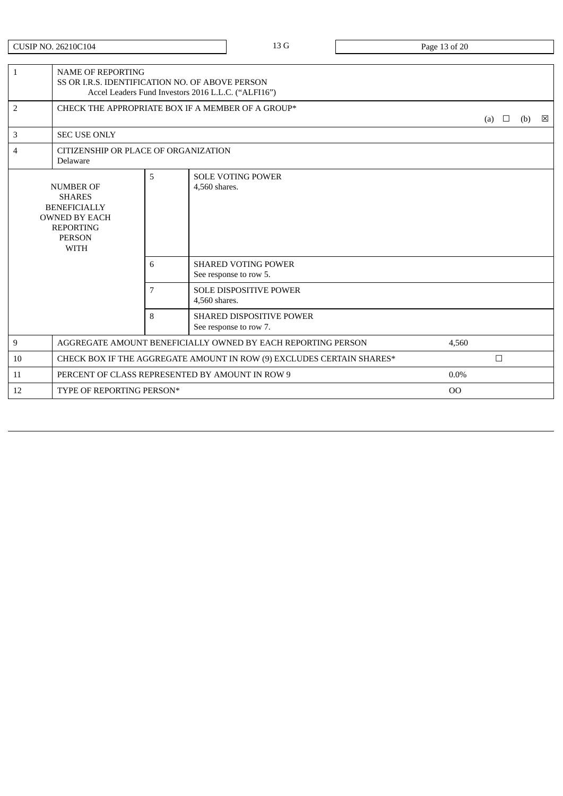CUSIP NO. 26210C104 23 G Page 13 of 20

| $\mathbf{1}$                                                                                                                         | <b>NAME OF REPORTING</b><br>SS OR I.R.S. IDENTIFICATION NO. OF ABOVE PERSON<br>Accel Leaders Fund Investors 2016 L.L.C. ("ALFI16") |   |                                                           |                |        |  |     |   |
|--------------------------------------------------------------------------------------------------------------------------------------|------------------------------------------------------------------------------------------------------------------------------------|---|-----------------------------------------------------------|----------------|--------|--|-----|---|
| 2                                                                                                                                    | CHECK THE APPROPRIATE BOX IF A MEMBER OF A GROUP*                                                                                  |   |                                                           |                |        |  | (b) | ⊠ |
| 3                                                                                                                                    | <b>SEC USE ONLY</b>                                                                                                                |   |                                                           |                |        |  |     |   |
| $\overline{4}$                                                                                                                       | CITIZENSHIP OR PLACE OF ORGANIZATION<br>Delaware                                                                                   |   |                                                           |                |        |  |     |   |
| <b>NUMBER OF</b><br><b>SHARES</b><br><b>BENEFICIALLY</b><br><b>OWNED BY EACH</b><br><b>REPORTING</b><br><b>PERSON</b><br><b>WITH</b> |                                                                                                                                    | 5 | <b>SOLE VOTING POWER</b><br>4,560 shares.                 |                |        |  |     |   |
|                                                                                                                                      |                                                                                                                                    |   | <b>SHARED VOTING POWER</b><br>See response to row 5.      |                |        |  |     |   |
|                                                                                                                                      |                                                                                                                                    | 7 | <b>SOLE DISPOSITIVE POWER</b><br>4,560 shares.            |                |        |  |     |   |
|                                                                                                                                      |                                                                                                                                    | 8 | <b>SHARED DISPOSITIVE POWER</b><br>See response to row 7. |                |        |  |     |   |
| 9                                                                                                                                    | AGGREGATE AMOUNT BENEFICIALLY OWNED BY EACH REPORTING PERSON                                                                       |   |                                                           | 4,560          |        |  |     |   |
| 10                                                                                                                                   | CHECK BOX IF THE AGGREGATE AMOUNT IN ROW (9) EXCLUDES CERTAIN SHARES*                                                              |   |                                                           |                | $\Box$ |  |     |   |
| 11                                                                                                                                   | PERCENT OF CLASS REPRESENTED BY AMOUNT IN ROW 9                                                                                    |   |                                                           | $0.0\%$        |        |  |     |   |
| 12                                                                                                                                   | TYPE OF REPORTING PERSON*                                                                                                          |   |                                                           | O <sub>O</sub> |        |  |     |   |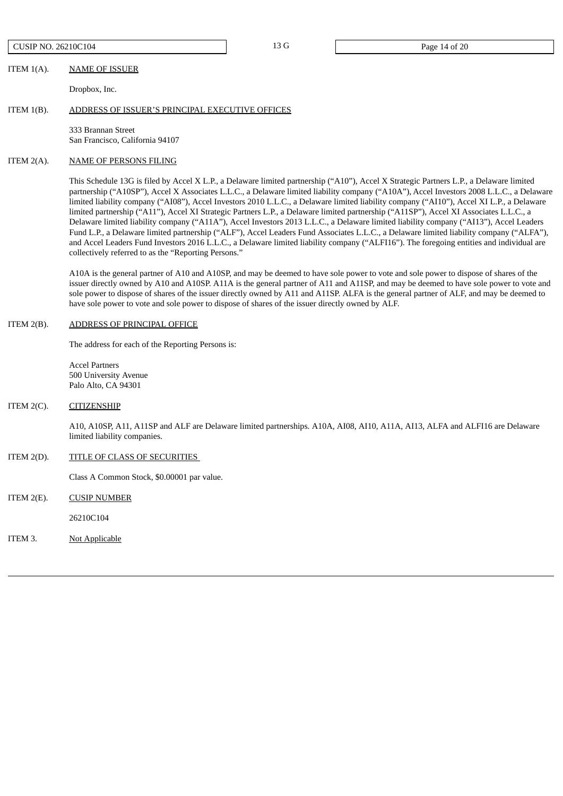CUSIP NO. 26210C104 20 Page 14 of 20

### ITEM 1(A). NAME OF ISSUER

Dropbox, Inc.

#### ITEM 1(B). ADDRESS OF ISSUER'S PRINCIPAL EXECUTIVE OFFICES

333 Brannan Street San Francisco, California 94107

#### ITEM 2(A). NAME OF PERSONS FILING

This Schedule 13G is filed by Accel X L.P., a Delaware limited partnership ("A10"), Accel X Strategic Partners L.P., a Delaware limited partnership ("A10SP"), Accel X Associates L.L.C., a Delaware limited liability company ("A10A"), Accel Investors 2008 L.L.C., a Delaware limited liability company ("AI08"), Accel Investors 2010 L.L.C., a Delaware limited liability company ("AI10"), Accel XI L.P., a Delaware limited partnership ("A11"), Accel XI Strategic Partners L.P., a Delaware limited partnership ("A11SP"), Accel XI Associates L.L.C., a Delaware limited liability company ("A11A"), Accel Investors 2013 L.L.C., a Delaware limited liability company ("AI13"), Accel Leaders Fund L.P., a Delaware limited partnership ("ALF"), Accel Leaders Fund Associates L.L.C., a Delaware limited liability company ("ALFA"), and Accel Leaders Fund Investors 2016 L.L.C., a Delaware limited liability company ("ALFI16"). The foregoing entities and individual are collectively referred to as the "Reporting Persons."

A10A is the general partner of A10 and A10SP, and may be deemed to have sole power to vote and sole power to dispose of shares of the issuer directly owned by A10 and A10SP. A11A is the general partner of A11 and A11SP, and may be deemed to have sole power to vote and sole power to dispose of shares of the issuer directly owned by A11 and A11SP. ALFA is the general partner of ALF, and may be deemed to have sole power to vote and sole power to dispose of shares of the issuer directly owned by ALF.

#### ITEM 2(B). ADDRESS OF PRINCIPAL OFFICE

The address for each of the Reporting Persons is:

Accel Partners 500 University Avenue Palo Alto, CA 94301

#### ITEM 2(C). CITIZENSHIP

A10, A10SP, A11, A11SP and ALF are Delaware limited partnerships. A10A, AI08, AI10, A11A, AI13, ALFA and ALFI16 are Delaware limited liability companies.

# ITEM 2(D). TITLE OF CLASS OF SECURITIES

Class A Common Stock, \$0.00001 par value.

ITEM 2(E). CUSIP NUMBER

26210C104

ITEM 3. Not Applicable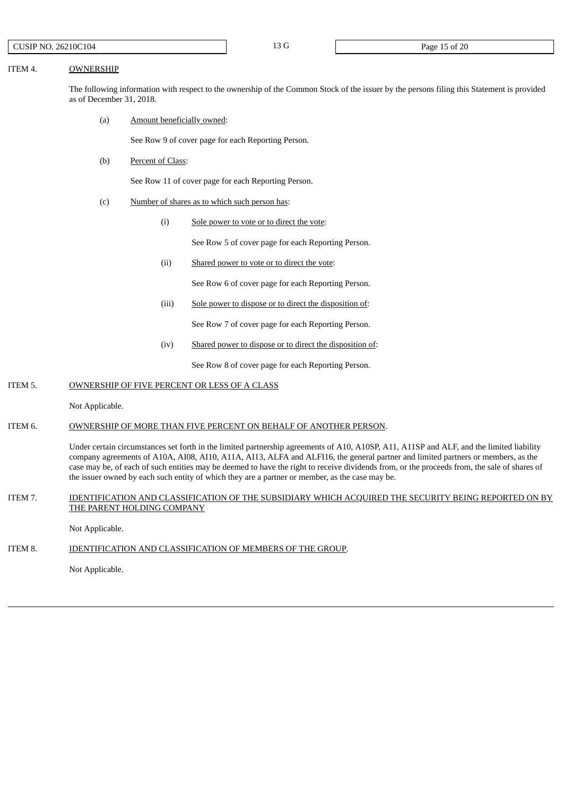#### ITEM 4. OWNERSHIP

The following information with respect to the ownership of the Common Stock of the issuer by the persons filing this Statement is provided as of December 31, 2018.

(a) Amount beneficially owned:

See Row 9 of cover page for each Reporting Person.

(b) Percent of Class:

See Row 11 of cover page for each Reporting Person.

- (c) Number of shares as to which such person has:
	- (i) Sole power to vote or to direct the vote:

See Row 5 of cover page for each Reporting Person.

(ii) Shared power to vote or to direct the vote:

See Row 6 of cover page for each Reporting Person.

(iii) Sole power to dispose or to direct the disposition of:

See Row 7 of cover page for each Reporting Person.

(iv) Shared power to dispose or to direct the disposition of:

See Row 8 of cover page for each Reporting Person.

### ITEM 5. OWNERSHIP OF FIVE PERCENT OR LESS OF A CLASS

Not Applicable.

### ITEM 6. OWNERSHIP OF MORE THAN FIVE PERCENT ON BEHALF OF ANOTHER PERSON.

Under certain circumstances set forth in the limited partnership agreements of A10, A10SP, A11, A11SP and ALF, and the limited liability company agreements of A10A, AI08, AI10, A11A, AI13, ALFA and ALFI16, the general partner and limited partners or members, as the case may be, of each of such entities may be deemed to have the right to receive dividends from, or the proceeds from, the sale of shares of the issuer owned by each such entity of which they are a partner or member, as the case may be.

## ITEM 7. IDENTIFICATION AND CLASSIFICATION OF THE SUBSIDIARY WHICH ACQUIRED THE SECURITY BEING REPORTED ON BY THE PARENT HOLDING COMPANY

Not Applicable.

## ITEM 8. **IDENTIFICATION AND CLASSIFICATION OF MEMBERS OF THE GROUP.**

Not Applicable.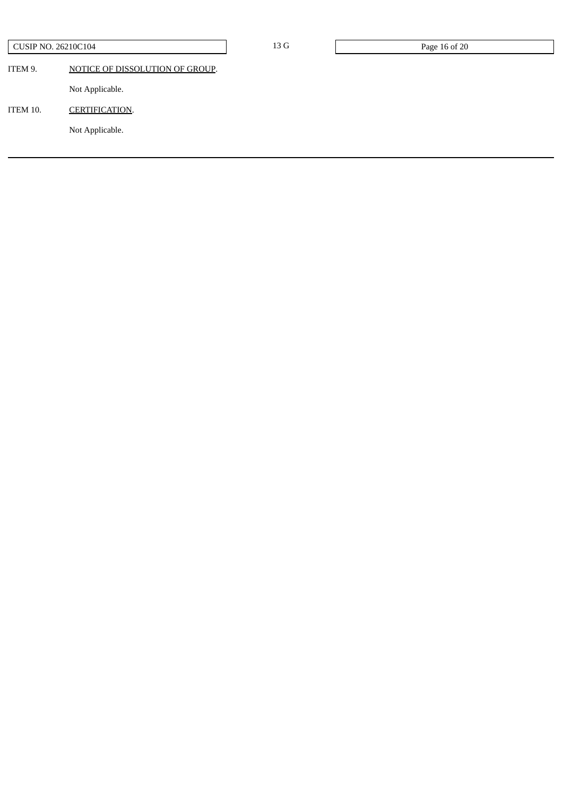| <b>CUSIP NO. 26210C104</b> |                                 | 13 G | Page 16 of 20 |
|----------------------------|---------------------------------|------|---------------|
| ITEM 9.                    | NOTICE OF DISSOLUTION OF GROUP. |      |               |
|                            | Not Applicable.                 |      |               |
| ITEM 10.                   | <b>CERTIFICATION.</b>           |      |               |
|                            | Not Applicable.                 |      |               |
|                            |                                 |      |               |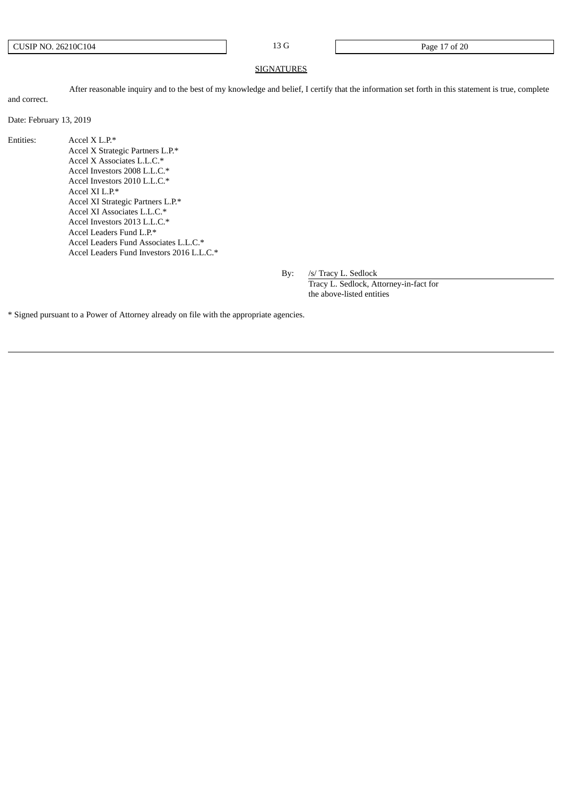CUSIP NO. 26210C104 23 G Page 17 of 20

#### **SIGNATURES**

After reasonable inquiry and to the best of my knowledge and belief, I certify that the information set forth in this statement is true, complete and correct.

Date: February 13, 2019

Entities: Accel X L.P.\* Accel X Strategic Partners L.P.\* Accel X Associates L.L.C.\* Accel Investors 2008 L.L.C.\* Accel Investors 2010 L.L.C.\* Accel XI L.P.\* Accel XI Strategic Partners L.P.\* Accel XI Associates L.L.C.\* Accel Investors 2013 L.L.C.\* Accel Leaders Fund L.P.\* Accel Leaders Fund Associates L.L.C.\* Accel Leaders Fund Investors 2016 L.L.C.\*

By: /s/ Tracy L. Sedlock

Tracy L. Sedlock, Attorney-in-fact for the above-listed entities

\* Signed pursuant to a Power of Attorney already on file with the appropriate agencies.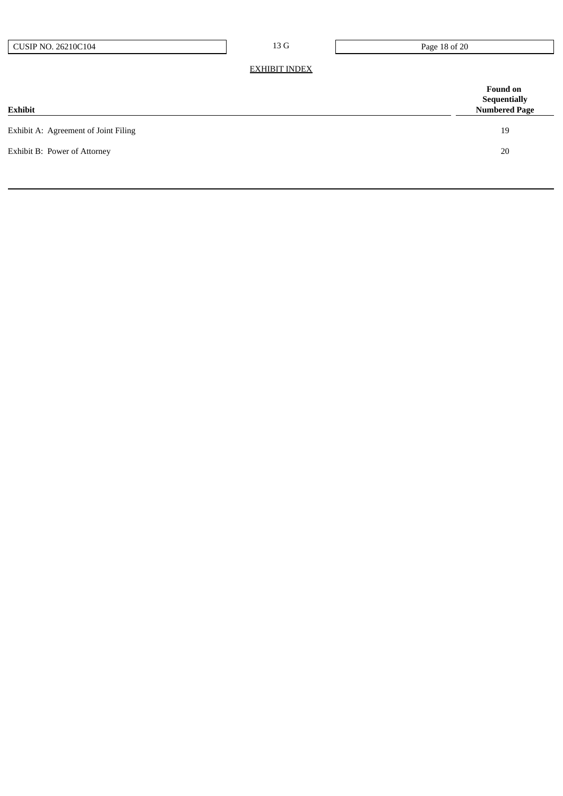13 G Page 18 of 20

EXHIBIT INDEX

| <b>Found on</b><br><b>Sequentially</b><br><b>Numbered Page</b> |
|----------------------------------------------------------------|
| 19                                                             |
| 20                                                             |
|                                                                |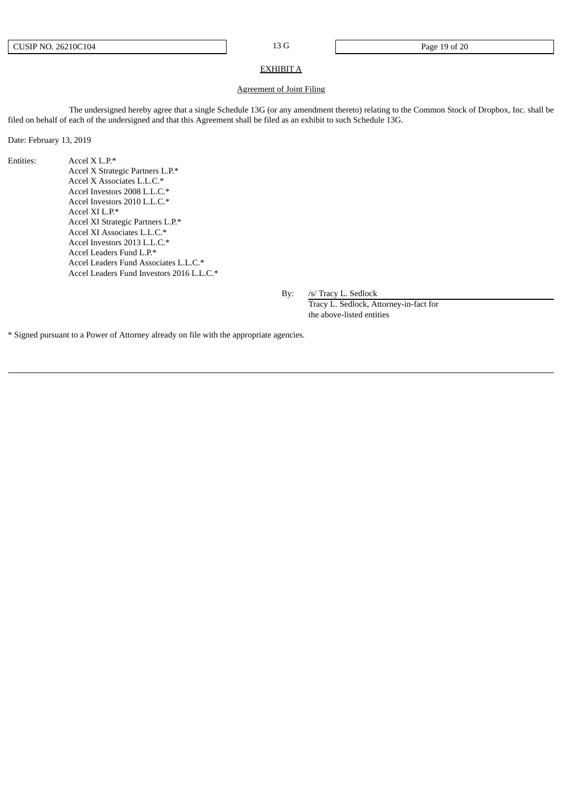#### EXHIBIT A

#### Agreement of Joint Filing

The undersigned hereby agree that a single Schedule 13G (or any amendment thereto) relating to the Common Stock of Dropbox, Inc. shall be filed on behalf of each of the undersigned and that this Agreement shall be filed as an exhibit to such Schedule 13G.

Date: February 13, 2019

Entities: Accel X L.P.\* Accel X Strategic Partners L.P.\* Accel X Associates L.L.C.\* Accel Investors 2008 L.L.C.\* Accel Investors 2010 L.L.C.\* Accel XI L.P.\* Accel XI Strategic Partners L.P.\* Accel XI Associates L.L.C.\* Accel Investors 2013 L.L.C.\* Accel Leaders Fund L.P.\* Accel Leaders Fund Associates L.L.C.\* Accel Leaders Fund Investors 2016 L.L.C.\*

By: /s/ Tracy L. Sedlock

Tracy L. Sedlock, Attorney-in-fact for the above-listed entities

\* Signed pursuant to a Power of Attorney already on file with the appropriate agencies.